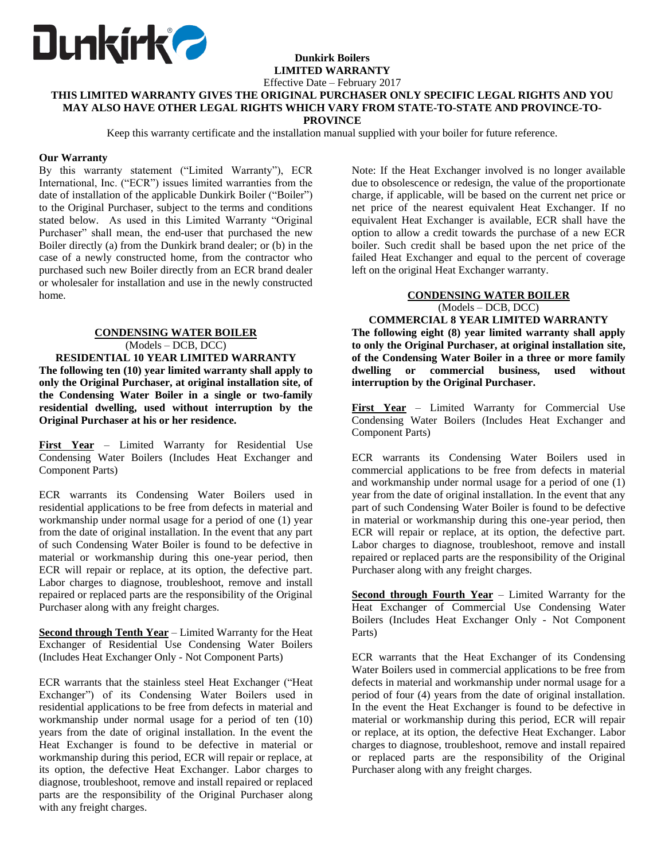

#### **Dunkirk Boilers LIMITED WARRANTY**

Effective Date – February 2017

### **THIS LIMITED WARRANTY GIVES THE ORIGINAL PURCHASER ONLY SPECIFIC LEGAL RIGHTS AND YOU MAY ALSO HAVE OTHER LEGAL RIGHTS WHICH VARY FROM STATE-TO-STATE AND PROVINCE-TO-PROVINCE**

Keep this warranty certificate and the installation manual supplied with your boiler for future reference.

### **Our Warranty**

By this warranty statement ("Limited Warranty"), ECR International, Inc. ("ECR") issues limited warranties from the date of installation of the applicable Dunkirk Boiler ("Boiler") to the Original Purchaser, subject to the terms and conditions stated below. As used in this Limited Warranty "Original Purchaser" shall mean, the end-user that purchased the new Boiler directly (a) from the Dunkirk brand dealer; or (b) in the case of a newly constructed home, from the contractor who purchased such new Boiler directly from an ECR brand dealer or wholesaler for installation and use in the newly constructed home.

## **CONDENSING WATER BOILER** (Models – DCB, DCC)

**RESIDENTIAL 10 YEAR LIMITED WARRANTY The following ten (10) year limited warranty shall apply to only the Original Purchaser, at original installation site, of the Condensing Water Boiler in a single or two-family residential dwelling, used without interruption by the Original Purchaser at his or her residence.**

**First Year** – Limited Warranty for Residential Use Condensing Water Boilers (Includes Heat Exchanger and Component Parts)

ECR warrants its Condensing Water Boilers used in residential applications to be free from defects in material and workmanship under normal usage for a period of one (1) year from the date of original installation. In the event that any part of such Condensing Water Boiler is found to be defective in material or workmanship during this one-year period, then ECR will repair or replace, at its option, the defective part. Labor charges to diagnose, troubleshoot, remove and install repaired or replaced parts are the responsibility of the Original Purchaser along with any freight charges.

**Second through Tenth Year** – Limited Warranty for the Heat Exchanger of Residential Use Condensing Water Boilers (Includes Heat Exchanger Only - Not Component Parts)

ECR warrants that the stainless steel Heat Exchanger ("Heat Exchanger") of its Condensing Water Boilers used in residential applications to be free from defects in material and workmanship under normal usage for a period of ten (10) years from the date of original installation. In the event the Heat Exchanger is found to be defective in material or workmanship during this period, ECR will repair or replace, at its option, the defective Heat Exchanger. Labor charges to diagnose, troubleshoot, remove and install repaired or replaced parts are the responsibility of the Original Purchaser along with any freight charges.

Note: If the Heat Exchanger involved is no longer available due to obsolescence or redesign, the value of the proportionate charge, if applicable, will be based on the current net price or net price of the nearest equivalent Heat Exchanger. If no equivalent Heat Exchanger is available, ECR shall have the option to allow a credit towards the purchase of a new ECR boiler. Such credit shall be based upon the net price of the failed Heat Exchanger and equal to the percent of coverage left on the original Heat Exchanger warranty.

## **CONDENSING WATER BOILER** (Models – DCB, DCC)

**COMMERCIAL 8 YEAR LIMITED WARRANTY The following eight (8) year limited warranty shall apply to only the Original Purchaser, at original installation site, of the Condensing Water Boiler in a three or more family dwelling or commercial business, used without interruption by the Original Purchaser.**

**First Year** – Limited Warranty for Commercial Use Condensing Water Boilers (Includes Heat Exchanger and Component Parts)

ECR warrants its Condensing Water Boilers used in commercial applications to be free from defects in material and workmanship under normal usage for a period of one (1) year from the date of original installation. In the event that any part of such Condensing Water Boiler is found to be defective in material or workmanship during this one-year period, then ECR will repair or replace, at its option, the defective part. Labor charges to diagnose, troubleshoot, remove and install repaired or replaced parts are the responsibility of the Original Purchaser along with any freight charges.

**Second through Fourth Year** – Limited Warranty for the Heat Exchanger of Commercial Use Condensing Water Boilers (Includes Heat Exchanger Only - Not Component Parts)

ECR warrants that the Heat Exchanger of its Condensing Water Boilers used in commercial applications to be free from defects in material and workmanship under normal usage for a period of four (4) years from the date of original installation. In the event the Heat Exchanger is found to be defective in material or workmanship during this period, ECR will repair or replace, at its option, the defective Heat Exchanger. Labor charges to diagnose, troubleshoot, remove and install repaired or replaced parts are the responsibility of the Original Purchaser along with any freight charges.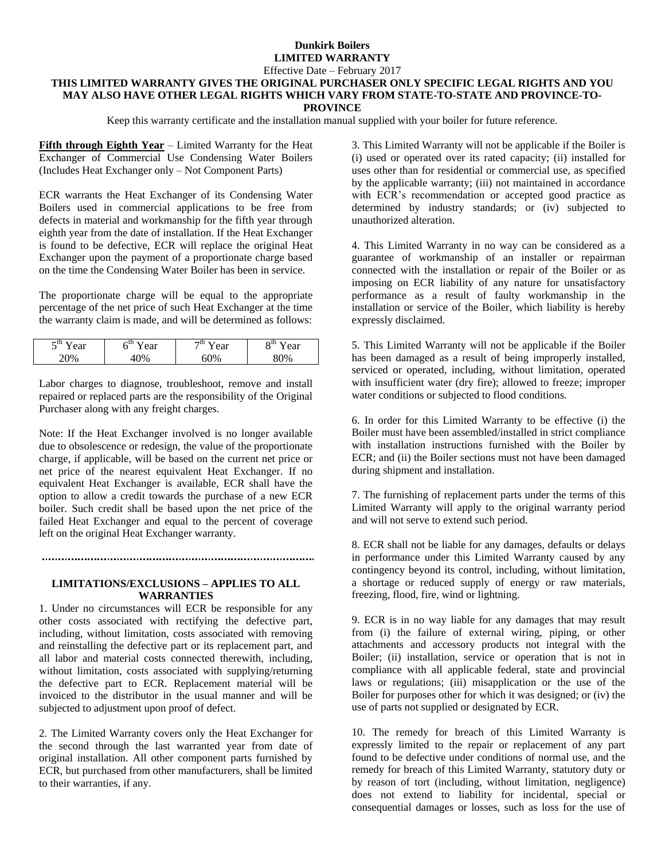# **Dunkirk Boilers LIMITED WARRANTY**

Effective Date – February 2017

# **THIS LIMITED WARRANTY GIVES THE ORIGINAL PURCHASER ONLY SPECIFIC LEGAL RIGHTS AND YOU MAY ALSO HAVE OTHER LEGAL RIGHTS WHICH VARY FROM STATE-TO-STATE AND PROVINCE-TO-**

**PROVINCE**

Keep this warranty certificate and the installation manual supplied with your boiler for future reference.

**Fifth through Eighth Year** – Limited Warranty for the Heat Exchanger of Commercial Use Condensing Water Boilers (Includes Heat Exchanger only – Not Component Parts)

ECR warrants the Heat Exchanger of its Condensing Water Boilers used in commercial applications to be free from defects in material and workmanship for the fifth year through eighth year from the date of installation. If the Heat Exchanger is found to be defective, ECR will replace the original Heat Exchanger upon the payment of a proportionate charge based on the time the Condensing Water Boiler has been in service.

The proportionate charge will be equal to the appropriate percentage of the net price of such Heat Exchanger at the time the warranty claim is made, and will be determined as follows:

| cm<br><b>Cai</b><br>$\overline{\phantom{0}}$ | .<br>ear | −ப…<br>ear | oш<br>ear<br>∼ |
|----------------------------------------------|----------|------------|----------------|
| 10/                                          |          |            | $\gamma_{0/2}$ |

Labor charges to diagnose, troubleshoot, remove and install repaired or replaced parts are the responsibility of the Original Purchaser along with any freight charges.

Note: If the Heat Exchanger involved is no longer available due to obsolescence or redesign, the value of the proportionate charge, if applicable, will be based on the current net price or net price of the nearest equivalent Heat Exchanger. If no equivalent Heat Exchanger is available, ECR shall have the option to allow a credit towards the purchase of a new ECR boiler. Such credit shall be based upon the net price of the failed Heat Exchanger and equal to the percent of coverage left on the original Heat Exchanger warranty.

#### 

### **LIMITATIONS/EXCLUSIONS – APPLIES TO ALL WARRANTIES**

1. Under no circumstances will ECR be responsible for any other costs associated with rectifying the defective part, including, without limitation, costs associated with removing and reinstalling the defective part or its replacement part, and all labor and material costs connected therewith, including, without limitation, costs associated with supplying/returning the defective part to ECR. Replacement material will be invoiced to the distributor in the usual manner and will be subjected to adjustment upon proof of defect.

2. The Limited Warranty covers only the Heat Exchanger for the second through the last warranted year from date of original installation. All other component parts furnished by ECR, but purchased from other manufacturers, shall be limited to their warranties, if any.

3. This Limited Warranty will not be applicable if the Boiler is (i) used or operated over its rated capacity; (ii) installed for uses other than for residential or commercial use, as specified by the applicable warranty; (iii) not maintained in accordance with ECR's recommendation or accepted good practice as determined by industry standards; or (iv) subjected to unauthorized alteration.

4. This Limited Warranty in no way can be considered as a guarantee of workmanship of an installer or repairman connected with the installation or repair of the Boiler or as imposing on ECR liability of any nature for unsatisfactory performance as a result of faulty workmanship in the installation or service of the Boiler, which liability is hereby expressly disclaimed.

5. This Limited Warranty will not be applicable if the Boiler has been damaged as a result of being improperly installed, serviced or operated, including, without limitation, operated with insufficient water (dry fire); allowed to freeze; improper water conditions or subjected to flood conditions.

6. In order for this Limited Warranty to be effective (i) the Boiler must have been assembled/installed in strict compliance with installation instructions furnished with the Boiler by ECR; and (ii) the Boiler sections must not have been damaged during shipment and installation.

7. The furnishing of replacement parts under the terms of this Limited Warranty will apply to the original warranty period and will not serve to extend such period.

8. ECR shall not be liable for any damages, defaults or delays in performance under this Limited Warranty caused by any contingency beyond its control, including, without limitation, a shortage or reduced supply of energy or raw materials, freezing, flood, fire, wind or lightning.

9. ECR is in no way liable for any damages that may result from (i) the failure of external wiring, piping, or other attachments and accessory products not integral with the Boiler; (ii) installation, service or operation that is not in compliance with all applicable federal, state and provincial laws or regulations; (iii) misapplication or the use of the Boiler for purposes other for which it was designed; or (iv) the use of parts not supplied or designated by ECR.

10. The remedy for breach of this Limited Warranty is expressly limited to the repair or replacement of any part found to be defective under conditions of normal use, and the remedy for breach of this Limited Warranty, statutory duty or by reason of tort (including, without limitation, negligence) does not extend to liability for incidental, special or consequential damages or losses, such as loss for the use of